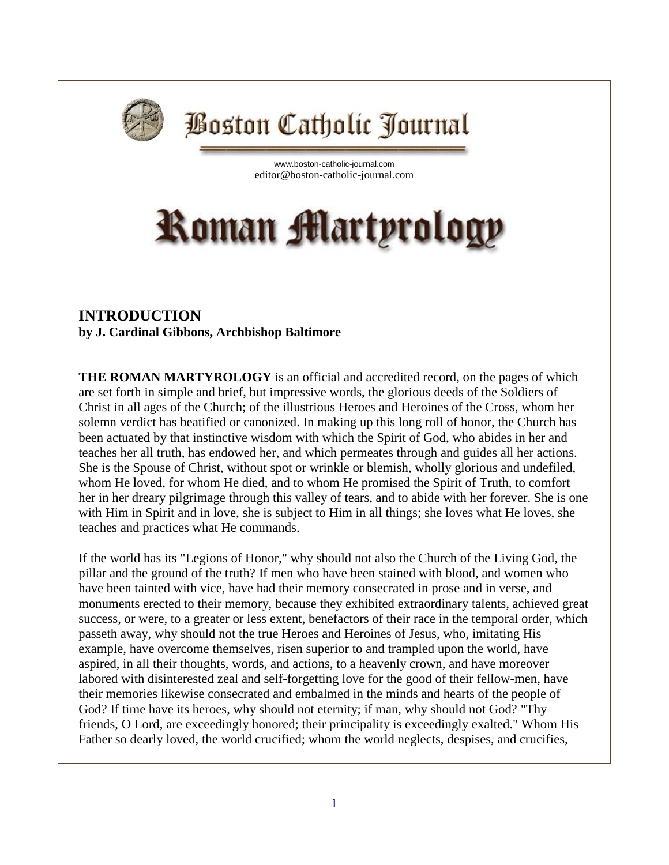

## **Boston Catholic Journal**

[www.boston-catholic-journal.com](http://www.boston-catholic-journal.com/) editor@boston-catholic-journal.com

## **Roman Martyrology**

## **INTRODUCTION by J. Cardinal Gibbons, Archbishop Baltimore**

**THE ROMAN MARTYROLOGY** is an official and accredited record, on the pages of which are set forth in simple and brief, but impressive words, the glorious deeds of the Soldiers of Christ in all ages of the Church; of the illustrious Heroes and Heroines of the Cross, whom her solemn verdict has beatified or canonized. In making up this long roll of honor, the Church has been actuated by that instinctive wisdom with which the Spirit of God, who abides in her and teaches her all truth, has endowed her, and which permeates through and guides all her actions. She is the Spouse of Christ, without spot or wrinkle or blemish, wholly glorious and undefiled, whom He loved, for whom He died, and to whom He promised the Spirit of Truth, to comfort her in her dreary pilgrimage through this valley of tears, and to abide with her forever. She is one with Him in Spirit and in love, she is subject to Him in all things; she loves what He loves, she teaches and practices what He commands.

If the world has its "Legions of Honor," why should not also the Church of the Living God, the pillar and the ground of the truth? If men who have been stained with blood, and women who have been tainted with vice, have had their memory consecrated in prose and in verse, and monuments erected to their memory, because they exhibited extraordinary talents, achieved great success, or were, to a greater or less extent, benefactors of their race in the temporal order, which passeth away, why should not the true Heroes and Heroines of Jesus, who, imitating His example, have overcome themselves, risen superior to and trampled upon the world, have aspired, in all their thoughts, words, and actions, to a heavenly crown, and have moreover labored with disinterested zeal and self-forgetting love for the good of their fellow-men, have their memories likewise consecrated and embalmed in the minds and hearts of the people of God? If time have its heroes, why should not eternity; if man, why should not God? "Thy friends, O Lord, are exceedingly honored; their principality is exceedingly exalted." Whom His Father so dearly loved, the world crucified; whom the world neglects, despises, and crucifies,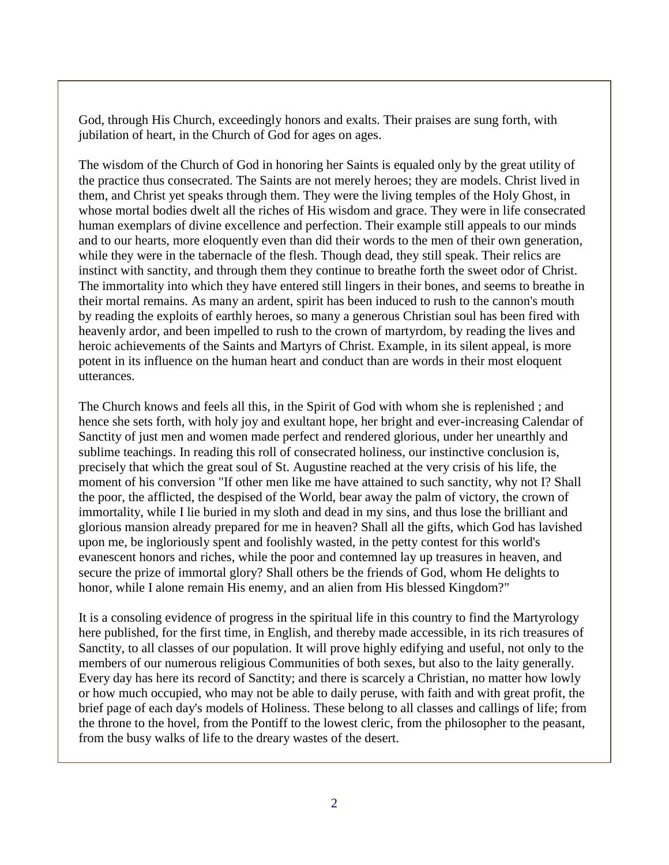God, through His Church, exceedingly honors and exalts. Their praises are sung forth, with jubilation of heart, in the Church of God for ages on ages.

The wisdom of the Church of God in honoring her Saints is equaled only by the great utility of the practice thus consecrated. The Saints are not merely heroes; they are models. Christ lived in them, and Christ yet speaks through them. They were the living temples of the Holy Ghost, in whose mortal bodies dwelt all the riches of His wisdom and grace. They were in life consecrated human exemplars of divine excellence and perfection. Their example still appeals to our minds and to our hearts, more eloquently even than did their words to the men of their own generation, while they were in the tabernacle of the flesh. Though dead, they still speak. Their relics are instinct with sanctity, and through them they continue to breathe forth the sweet odor of Christ. The immortality into which they have entered still lingers in their bones, and seems to breathe in their mortal remains. As many an ardent, spirit has been induced to rush to the cannon's mouth by reading the exploits of earthly heroes, so many a generous Christian soul has been fired with heavenly ardor, and been impelled to rush to the crown of martyrdom, by reading the lives and heroic achievements of the Saints and Martyrs of Christ. Example, in its silent appeal, is more potent in its influence on the human heart and conduct than are words in their most eloquent utterances.

The Church knows and feels all this, in the Spirit of God with whom she is replenished ; and hence she sets forth, with holy joy and exultant hope, her bright and ever-increasing Calendar of Sanctity of just men and women made perfect and rendered glorious, under her unearthly and sublime teachings. In reading this roll of consecrated holiness, our instinctive conclusion is, precisely that which the great soul of St. Augustine reached at the very crisis of his life, the moment of his conversion "If other men like me have attained to such sanctity, why not I? Shall the poor, the afflicted, the despised of the World, bear away the palm of victory, the crown of immortality, while I lie buried in my sloth and dead in my sins, and thus lose the brilliant and glorious mansion already prepared for me in heaven? Shall all the gifts, which God has lavished upon me, be ingloriously spent and foolishly wasted, in the petty contest for this world's evanescent honors and riches, while the poor and contemned lay up treasures in heaven, and secure the prize of immortal glory? Shall others be the friends of God, whom He delights to honor, while I alone remain His enemy, and an alien from His blessed Kingdom?"

It is a consoling evidence of progress in the spiritual life in this country to find the Martyrology here published, for the first time, in English, and thereby made accessible, in its rich treasures of Sanctity, to all classes of our population. It will prove highly edifying and useful, not only to the members of our numerous religious Communities of both sexes, but also to the laity generally. Every day has here its record of Sanctity; and there is scarcely a Christian, no matter how lowly or how much occupied, who may not be able to daily peruse, with faith and with great profit, the brief page of each day's models of Holiness. These belong to all classes and callings of life; from the throne to the hovel, from the Pontiff to the lowest cleric, from the philosopher to the peasant, from the busy walks of life to the dreary wastes of the desert.